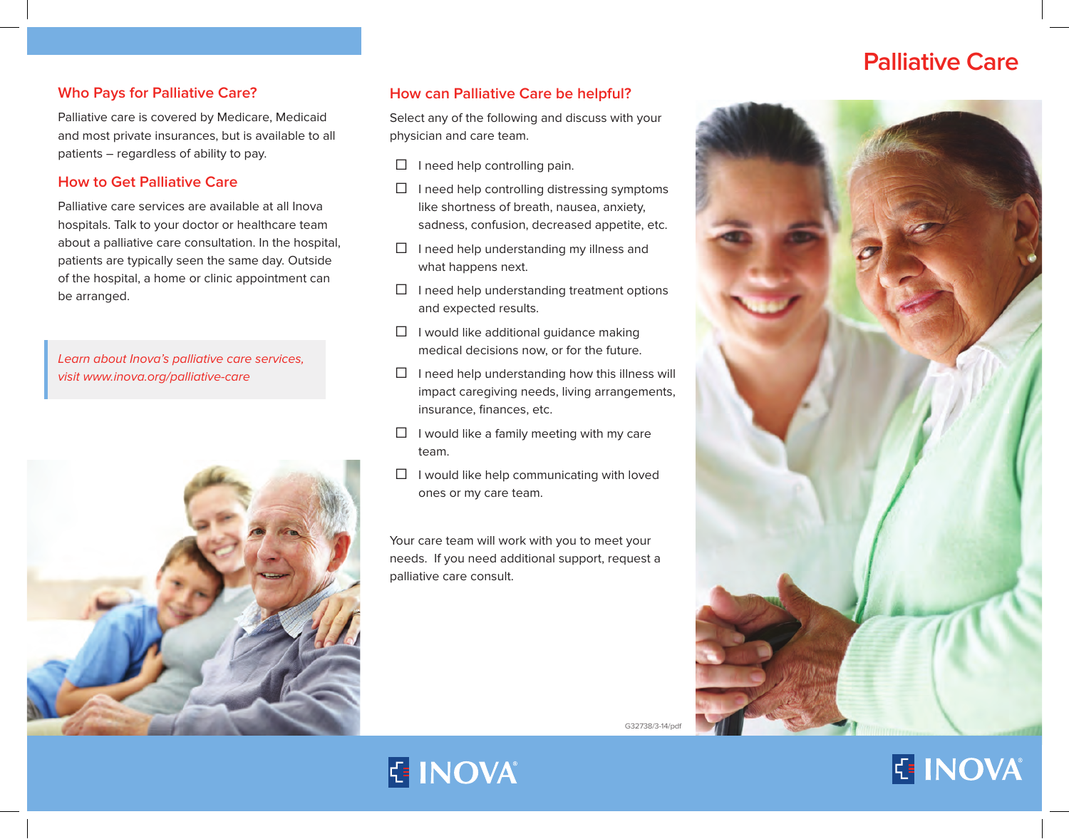# **Palliative Care**

#### **Who Pays for Palliative Care?**

Palliative care is covered by Medicare, Medicaid and most private insurances, but is available to all patients – regardless of ability to pay.

#### **How to Get Palliative Care**

Palliative care services are available at all Inova hospitals. Talk to your doctor or healthcare team about a palliative care consultation. In the hospital, patients are typically seen the same day. Outside of the hospital, a home or clinic appointment can be arranged.

Learn about Inova's palliative care services, visit www.inova.org/palliative-care



# **How can Palliative Care be helpful?**

Select any of the following and discuss with your physician and care team.

- □ I need help controlling pain.
- ☐ I need help controlling distressing symptoms like shortness of breath, nausea, anxiety, sadness, confusion, decreased appetite, etc.
- $\Box$  I need help understanding my illness and what happens next.
- $\Box$  I need help understanding treatment options and expected results.
- $\Box$  I would like additional guidance making medical decisions now, or for the future.
- $\Box$  I need help understanding how this illness will impact caregiving needs, living arrangements, insurance, finances, etc.
- $\Box$  I would like a family meeting with my care team.
- $\Box$  I would like help communicating with loved ones or my care team.

Your care team will work with you to meet your needs. If you need additional support, request a palliative care consult.



G32738/3-14/p

# **E INOVA**